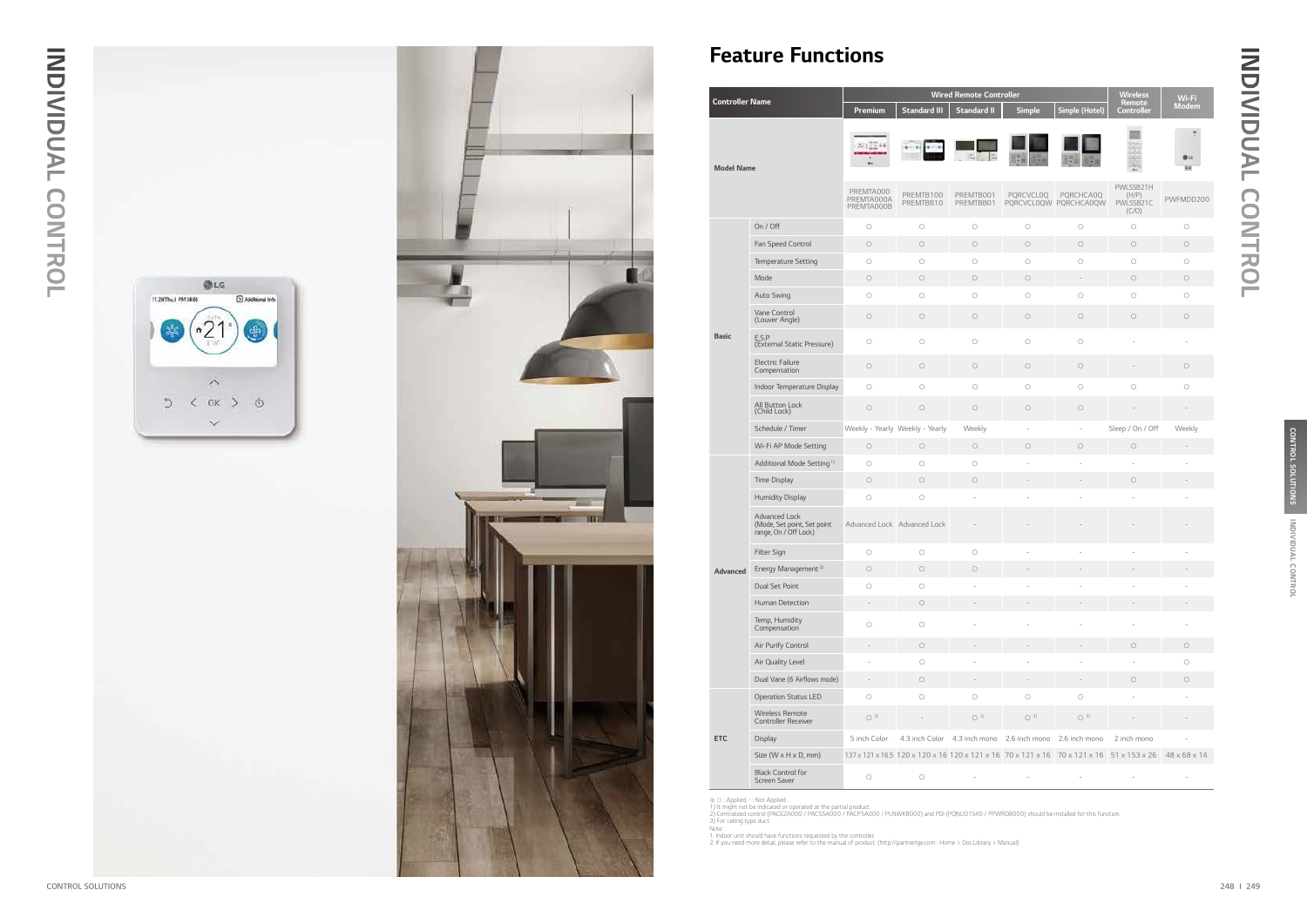

# INDIVIDUAL CONTROL INDIVIDUAL CONTROL

# Feature Functions

| <b>Controller Name</b> |                                                                       | <b>Wired Remote Controller</b>        |                                                                                          |                                                          |                          | <b>Wireless</b><br><b>Remote</b>          | Wi-Fi                                    |              |
|------------------------|-----------------------------------------------------------------------|---------------------------------------|------------------------------------------------------------------------------------------|----------------------------------------------------------|--------------------------|-------------------------------------------|------------------------------------------|--------------|
|                        |                                                                       |                                       | <b>Standard III</b>                                                                      | <b>Standard II</b>                                       | <b>Simple</b>            | Simple (Hotel)                            | Controller                               | <b>Modem</b> |
|                        | <b>Model Name</b>                                                     |                                       |                                                                                          |                                                          |                          |                                           |                                          |              |
|                        |                                                                       | PREMTA000<br>PREMTA000A<br>PREMTA000B | PREMTB100<br>PREMTBB10                                                                   | PREMTB001<br>PREMTBB01                                   | <b>PORCVCLOQ</b>         | <b>PQRCHCA0Q</b><br>PQRCVCL0QW PQRCHCA0QW | PWLSSB21H<br>(H/P)<br>PWLSSB21C<br>(C/O) | PWFMDD200    |
|                        | On / Off                                                              | $\bigcirc$                            | $\bigcirc$                                                                               | $\bigcirc$                                               | $\bigcirc$               | $\bigcirc$                                | $\circ$                                  | $\bigcirc$   |
|                        | Fan Speed Control                                                     | $\bigcirc$                            | $\bigcirc$                                                                               | $\bigcirc$                                               | $\bigcirc$               | $\bigcirc$                                | $\bigcirc$                               | $\bigcirc$   |
|                        | Temperature Setting                                                   | $\bigcirc$                            | $\bigcirc$                                                                               | $\bigcirc$                                               | $\bigcirc$               | $\bigcirc$                                | $\bigcirc$                               | $\bigcirc$   |
|                        | Mode                                                                  | $\bigcirc$                            | $\bigcirc$                                                                               | $\bigcirc$                                               | $\bigcirc$               | $\frac{1}{2}$                             | $\bigcirc$                               | $\bigcirc$   |
|                        | <b>Auto Swing</b>                                                     | $\circ$                               | $\bigcirc$                                                                               | $\bigcirc$                                               | $\bigcirc$               | $\bigcirc$                                | $\bigcirc$                               | $\bigcirc$   |
|                        | Vane Control<br>(Louver Angle)                                        | $\bigcirc$                            | $\bigcirc$                                                                               | $\bigcirc$                                               | $\bigcirc$               | $\bigcirc$                                | $\bigcirc$                               | $\bigcirc$   |
| <b>Basic</b>           | E.S.P<br>(External Static Pressure)                                   | $\bigcirc$                            | $\bigcirc$                                                                               | $\circ$                                                  | $\bigcirc$               | $\bigcirc$                                |                                          |              |
|                        | <b>Electric Failure</b><br>Compensation                               | $\bigcirc$                            | $\bigcirc$                                                                               | $\bigcirc$                                               | $\bigcirc$               | $\bigcirc$                                |                                          | $\bigcirc$   |
|                        | Indoor Temperature Display                                            | $\bigcirc$                            | $\bigcirc$                                                                               | $\circ$                                                  | $\bigcirc$               | $\bigcirc$                                | $\bigcirc$                               | $\bigcirc$   |
|                        | All Button Lock<br>(Child Lock)                                       | $\bigcirc$                            | $\bigcirc$                                                                               | $\bigcirc$                                               | $\bigcirc$               | $\bigcirc$                                |                                          |              |
|                        | Schedule / Timer                                                      |                                       | Weekly - Yearly Weekly - Yearly                                                          | Weekly                                                   | $\overline{\phantom{a}}$ | $\blacksquare$                            | Sleep / On / Off                         | Weekly       |
|                        | Wi-Fi AP Mode Setting                                                 | $\bigcirc$                            | $\bigcirc$                                                                               | $\bigcirc$                                               | $\bigcirc$               | $\bigcirc$                                | $\bigcirc$                               |              |
|                        | Additional Mode Setting <sup>1)</sup>                                 | $\circ$                               | $\bigcirc$                                                                               | $\circ$                                                  | $\sim$                   |                                           | ÷,                                       |              |
|                        | Time Display                                                          | $\bigcirc$                            | $\bigcirc$                                                                               | $\bigcirc$                                               |                          |                                           | $\bigcirc$                               |              |
|                        | <b>Humidity Display</b>                                               | $\bigcirc$                            | $\bigcirc$                                                                               | ł.                                                       |                          |                                           |                                          |              |
|                        | Advanced Lock<br>(Mode, Set point, Set point<br>range, On / Off Lock) | Advanced Lock Advanced Lock           |                                                                                          |                                                          |                          |                                           |                                          |              |
|                        | Filter Sign                                                           | $\circ$                               | $\bigcirc$                                                                               | $\bigcirc$                                               |                          |                                           |                                          |              |
| <b>Advanced</b>        | Energy Management <sup>2)</sup>                                       | $\circ$                               | $\circ$                                                                                  | $\bigcirc$                                               |                          |                                           |                                          |              |
|                        | Dual Set Point                                                        | $\circ$                               | $\bigcirc$                                                                               |                                                          |                          |                                           |                                          |              |
|                        | Human Detection                                                       |                                       | $\bigcirc$                                                                               |                                                          |                          |                                           |                                          |              |
|                        | Temp, Humidity<br>Compensation                                        | $\bigcirc$                            | $\bigcirc$                                                                               |                                                          |                          |                                           |                                          |              |
|                        | Air Purify Control                                                    |                                       | $\bigcirc$                                                                               |                                                          |                          |                                           | $\circ$                                  | $\bigcirc$   |
|                        | Air Quality Level                                                     |                                       | $\bigcirc$                                                                               |                                                          |                          |                                           |                                          | $\bigcirc$   |
|                        | Dual Vane (6 Airflows mode)                                           |                                       | $\bigcirc$                                                                               |                                                          |                          |                                           | $\circ$                                  | $\circ$      |
|                        | <b>Operation Status LED</b>                                           | $\bigcirc$                            | $\bigcirc$                                                                               | $\bigcirc$                                               | $\bigcirc$               | $\bigcirc$                                |                                          |              |
|                        | Wireless Remote<br><b>Controller Receiver</b>                         | $\bigcirc$ 3)                         |                                                                                          | $\bigcirc$ 3)                                            | $\bigcirc$ 3)            | $\bigcirc$ 3)                             |                                          |              |
| <b>ETC</b>             | <b>Display</b>                                                        | 5 inch Color                          |                                                                                          | 4.3 inch Color 4.3 inch mono 2.6 inch mono 2.6 inch mono |                          |                                           | 2 inch mono                              |              |
|                        | Size (W x H x D, mm)                                                  |                                       | 137 x 121 x 16.5 120 x 120 x 16 120 x 121 x 16 70 x 121 x 16 70 x 121 x 16 51 x 153 x 26 |                                                          |                          |                                           |                                          | 48 x 68 x 14 |
|                        | <b>Black Control for</b><br>Screen Saver                              | $\bigcirc$                            | $\bigcirc$                                                                               |                                                          |                          |                                           |                                          |              |

※ O : Applied, - : Not Applied<br>1) It might not be indicated or operated at the partial product.<br>2) Centralized control (PACEZA000 / PACS5A000 / PACP5A000 / PLNWKB000) and PDI (PQNUD1S40 / PPWRDB000) should be installed fo

1. Indoor unit should have functions requested by the controller. 2. If you need more detail, please refer to the manual of product. (http://partner.lge.com : Home > Doc.Library > Manual)

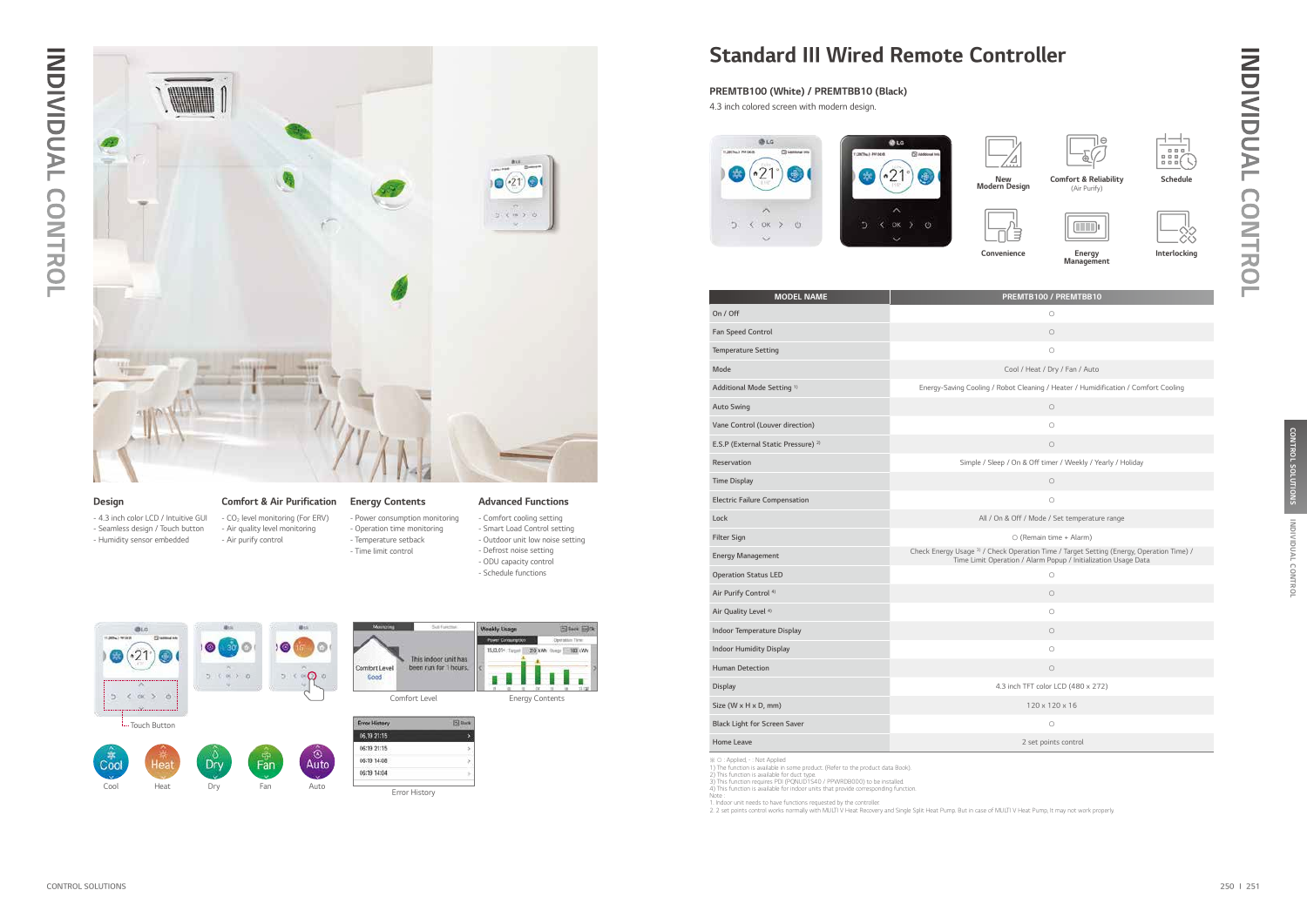



Comfort Level **Energy Contents** 



Error History

# Standard III Wired Remote Controller

| ∩                                                          |
|------------------------------------------------------------|
| ∩                                                          |
| Cool / Heat / Dry / Fan / Auto                             |
| Robot Cleaning / Heater / Humidification / Comfort Cooling |
| ∩                                                          |
| ∩                                                          |
| $\bigcap$                                                  |
| ep / On & Off timer / Weekly / Yearly / Holiday            |
|                                                            |

| ×<br>۰. |  |
|---------|--|



- CO<sub>2</sub> level monitoring (For ERV) - Air quality level monitoring - Air purify control

- 4.3 inch color LCD / Intuitive GUI - Seamless design / Touch button - Humidity sensor embedded

# Design **Comfort & Air Purification** Energy Contents Advanced Functions

# INDIVIDUAL CONTROL INDIVIDUAL CONTROL



- Comfort cooling setting - Smart Load Control setting
- Outdoor unit low noise setting - Defrost noise setting
- ODU capacity control
- Schedule functions



- Time limit control

| <b>MODEL NAME</b>                              | PREMTB100 / PREMTBB10                                                                                                                                                 |
|------------------------------------------------|-----------------------------------------------------------------------------------------------------------------------------------------------------------------------|
| On / Off                                       | $\bigcirc$                                                                                                                                                            |
| Fan Speed Control                              | $\bigcirc$                                                                                                                                                            |
| <b>Temperature Setting</b>                     | $\bigcirc$                                                                                                                                                            |
| Mode                                           | Cool / Heat / Dry / Fan / Auto                                                                                                                                        |
| Additional Mode Setting <sup>1)</sup>          | Energy-Saving Cooling / Robot Cleaning / Heater / Humidification / Comfort Cooling                                                                                    |
| <b>Auto Swing</b>                              | $\circ$                                                                                                                                                               |
| Vane Control (Louver direction)                | $\circ$                                                                                                                                                               |
| E.S.P (External Static Pressure) <sup>2)</sup> | $\bigcirc$                                                                                                                                                            |
| Reservation                                    | Simple / Sleep / On & Off timer / Weekly / Yearly / Holiday                                                                                                           |
| <b>Time Display</b>                            | $\circ$                                                                                                                                                               |
| <b>Electric Failure Compensation</b>           | $\bigcirc$                                                                                                                                                            |
| Lock                                           | All / On & Off / Mode / Set temperature range                                                                                                                         |
| <b>Filter Sign</b>                             | ○ (Remain time + Alarm)                                                                                                                                               |
| <b>Energy Management</b>                       | Check Energy Usage <sup>3)</sup> / Check Operation Time / Target Setting (Energy, Operation Time) /<br>Time Limit Operation / Alarm Popup / Initialization Usage Data |
| <b>Operation Status LED</b>                    | $\bigcirc$                                                                                                                                                            |
| Air Purify Control <sup>4)</sup>               | $\bigcirc$                                                                                                                                                            |
| Air Quality Level <sup>4)</sup>                | $\circ$                                                                                                                                                               |
| <b>Indoor Temperature Display</b>              | $\circ$                                                                                                                                                               |
| <b>Indoor Humidity Display</b>                 | $\bigcirc$                                                                                                                                                            |
| <b>Human Detection</b>                         | $\bigcirc$                                                                                                                                                            |
| <b>Display</b>                                 | 4.3 inch TFT color LCD (480 x 272)                                                                                                                                    |
| Size (W x H x D, mm)                           | 120 x 120 x 16                                                                                                                                                        |
| <b>Black Light for Screen Saver</b>            | $\circ$                                                                                                                                                               |
| Home Leave                                     | 2 set points control                                                                                                                                                  |

※ O : Applied, - : Not Applied<br>1) The function is available in some product. (Refer to the product data Book).<br>2) This function is available for duct type.<br>3) This function is available for indoor units that provide corre

Note :<br>1. Indoor unit needs to have functions requested by the controller.<br>2. 2 set points control works normally with MULTI V Heat Recovery and Single Split Heat Pump. But in case of MULTI V Heat Pump, It may not work pro









Energy Management

Interlocking

4.3 inch colored screen with modern design.

# PREMTB100 (White) / PREMTBB10 (Black)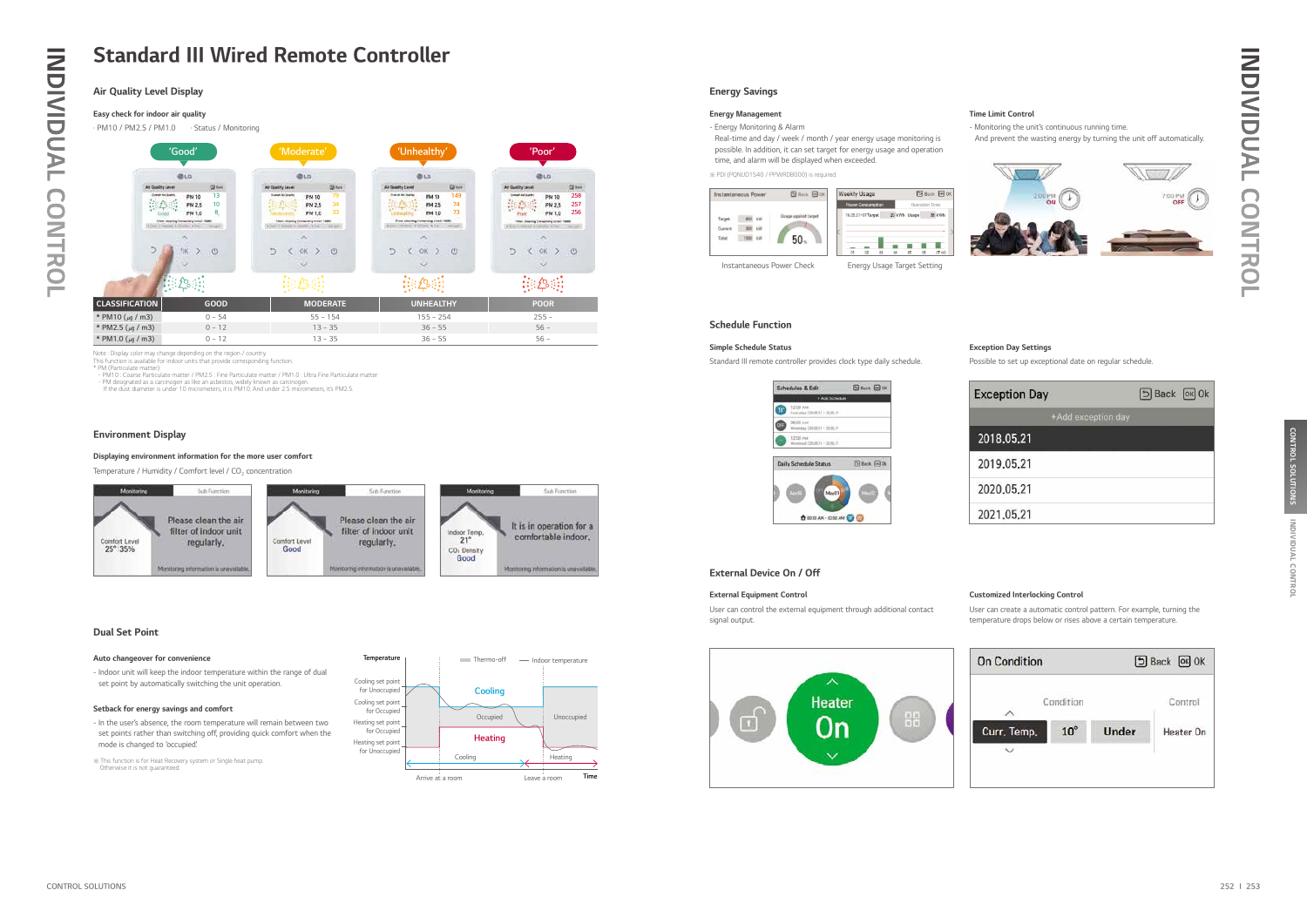# Air Quality Level Display

# Easy check for indoor air quality

· PM10 / PM2.5 / PM1.0 · Status / Monitoring

## Auto changeover for convenience

- Indoor unit will keep the indoor temperature within the range of dual set point by automatically switching the unit operation.

## Setback for energy savings and comfort

- In the user's absence, the room temperature will remain between two set points rather than switching off, providing quick comfort when the mode is changed to 'occupied'.

Note : Display color may change depending on the region / country. This function is available for indoor units that provide corresponding function. \* PM (Particulate matter)

- PM10 : Coarse Particulate matter / PM2.5 : Fine Particulate matter / PM1.0 : Ultra Fine Particulate matter

- PM designated as a carcinogen as like an asbestos, widely known as carcinogen. If the dust diameter is under 10 micrometers, it is PM10. And under 2.5 micrometers, it's PM2.5.

# **INDIVIDUAL CONTROL** INDIVIDUAL CONTROL

| ception Day        | 5 Back [OK] Ok |  |
|--------------------|----------------|--|
| +Add exception day |                |  |
| 18.05.21           |                |  |
| 19.05.21           |                |  |
| 20.05.21           |                |  |
| 21.05.21           |                |  |



# Environment Display

# Dual Set Point

# Displaying environment information for the more user comfort

Temperature / Humidity / Comfort level /  $CO<sub>2</sub>$  concentration





※ This function is for Heat Recovery system or Single heat pump. Otherwise it is not guaranteed.

# Energy Savings

# Energy Management **Energy Management Time Limit Control**

Instantaneous Power Check Energy Usage Target Setting

※ PDI (PQNUD1S40 / PPWRDB000) is required.



- Energy Monitoring & Alarm

 Real-time and day / week / month / year energy usage monitoring is possible. In addition, it can set target for energy usage and operation time, and alarm will be displayed when exceeded.

- Monitoring the unit's continuous running time.

And prevent the wasting energy by turning the unit off automatically.



# External Equipment Control Customized Interlocking Control

User can control the external equipment through additional contact signal output.



User can create a automatic control pattern. For example, turning the temperature drops below or rises above a certain temperature.

# External Device On / Off

# Schedule Function

## Simple Schedule Status **Exception Day Settings**

Standard III remote controller provides clock type daily schedule. Possible to set up exceptional date on regular schedule.





Ex

# Standard III Wired Remote Controller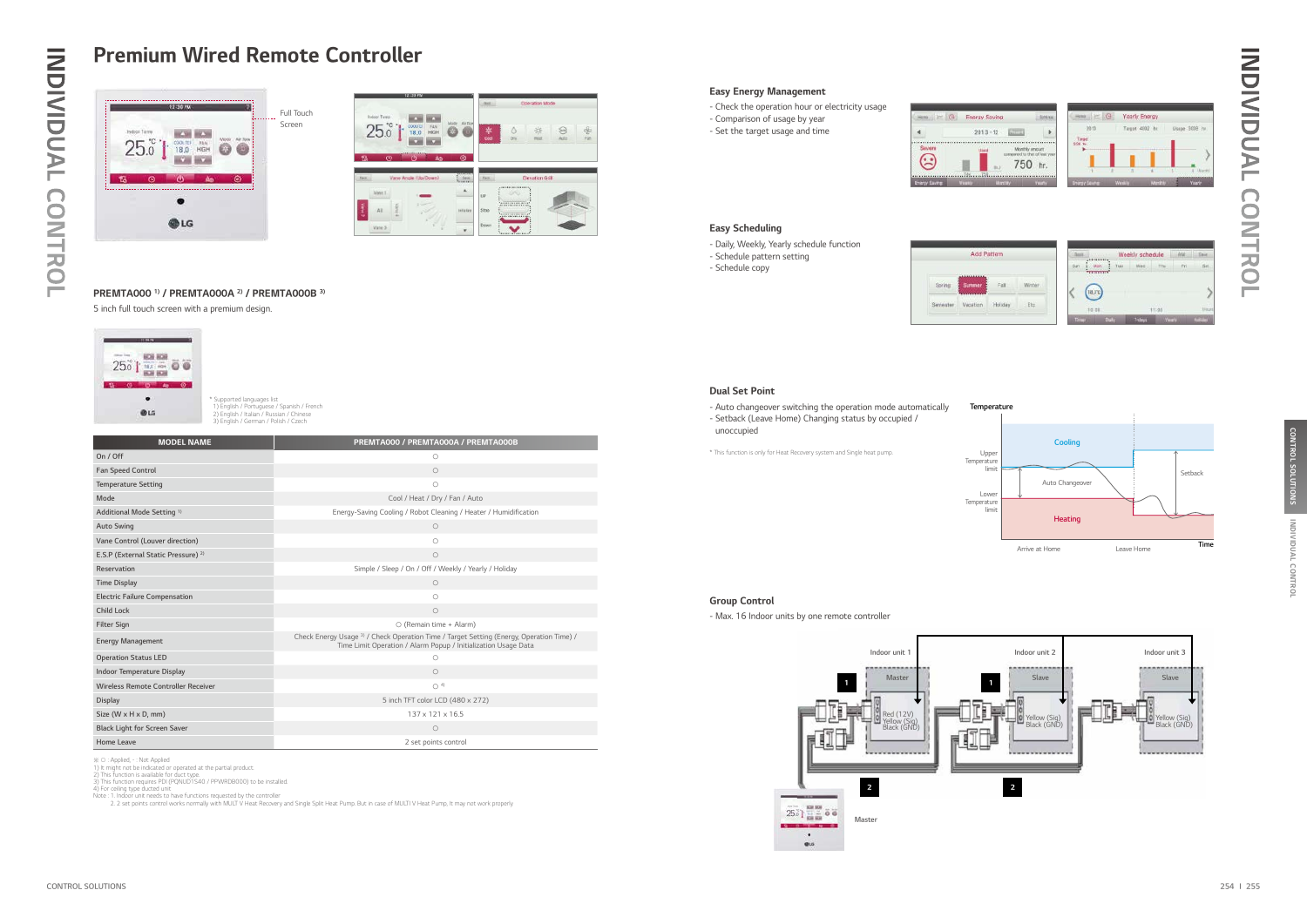# Easy Energy Management

- Check the operation hour or electricity usage
- Comparison of usage by year
- Set the target usage and time



# Easy Scheduling

- Daily, Weekly, Yearly schedule function
- Schedule pattern setting
- Schedule copy



# Dual Set Point

- Auto changeover switching the operation mode automatically - Setback (Leave Home) Changing status by occupied / unoccupied

\* This function is only for Heat Recovery system and Single heat pump. Very substitution is only per

# Group Control

- Max. 16 Indoor units by one remote controller



| Indoor Terro           |   |                                |                                                                     | Rock               |                 | <b>Coeration Mode</b> |            |           |
|------------------------|---|--------------------------------|---------------------------------------------------------------------|--------------------|-----------------|-----------------------|------------|-----------|
| $25.0$ <sup>c</sup>    |   | COOL(T)<br>FAN<br>18.0<br>HIGH | Air flow<br>Mode.<br>ź.                                             | *<br>Cool          | Δ<br>Dry        | 焱<br>PALIST           | 89<br>Auto | \$<br>Fat |
| ъ<br>field.<br>Vann.1  | G | Ô<br>Vane Angle (Ub/Down)      | ۰<br>Ao.<br>20000000<br>flees)<br><b><i><u>PETRESS</u></i></b><br>۸ | Fact.<br><b>UP</b> | <b>AAAAAAAA</b> | Elevation Grill       |            |           |
| <b>Carrie 2</b><br>All | š |                                | <b>HETWEEN</b>                                                      | <b>Stop</b>        |                 |                       |            |           |
|                        |   |                                |                                                                     | Down               |                 |                       |            |           |

| <b>MODEL NAME</b>                              | PREMTA000 / PREMTA000A / PREMTA000B                                                                                                                        |
|------------------------------------------------|------------------------------------------------------------------------------------------------------------------------------------------------------------|
| On / Off                                       | $\circ$                                                                                                                                                    |
| <b>Fan Speed Control</b>                       | $\circ$                                                                                                                                                    |
| <b>Temperature Setting</b>                     | $\circ$                                                                                                                                                    |
| Mode                                           | Cool / Heat / Dry / Fan / Auto                                                                                                                             |
| Additional Mode Setting <sup>1)</sup>          | Energy-Saving Cooling / Robot Cleaning / Heater / Humidification                                                                                           |
| <b>Auto Swing</b>                              | $\circ$                                                                                                                                                    |
| Vane Control (Louver direction)                | $\circ$                                                                                                                                                    |
| E.S.P (External Static Pressure) <sup>2)</sup> | $\circ$                                                                                                                                                    |
| Reservation                                    | Simple / Sleep / On / Off / Weekly / Yearly / Holiday                                                                                                      |
| <b>Time Display</b>                            | $\bigcirc$                                                                                                                                                 |
| <b>Electric Failure Compensation</b>           | $\circ$                                                                                                                                                    |
| Child Lock                                     | $\circ$                                                                                                                                                    |
| <b>Filter Sign</b>                             | O (Remain time + Alarm)                                                                                                                                    |
| <b>Energy Management</b>                       | Check Energy Usage 3) / Check Operation Time / Target Setting (Energy, Operation Time) /<br>Time Limit Operation / Alarm Popup / Initialization Usage Data |
| <b>Operation Status LED</b>                    | O                                                                                                                                                          |
| Indoor Temperature Display                     | $\circ$                                                                                                                                                    |
| Wireless Remote Controller Receiver            | O <sup>4</sup>                                                                                                                                             |
| <b>Display</b>                                 | 5 inch TFT color LCD (480 x 272)                                                                                                                           |
| Size (W $\times$ H $\times$ D, mm)             | 137 x 121 x 16.5                                                                                                                                           |
| <b>Black Light for Screen Saver</b>            | $\circ$                                                                                                                                                    |
| <b>Home Leave</b>                              | 2 set points control                                                                                                                                       |

※ O : Applied, - : Not Applied<br>1) It might not be indicated or operated at the partial product.<br>2) This function is available for duct type.<br>3) This function requires PDI (PQNUD1S40 / PPWRDB000) to be installed.<br>4) For ce

Note : 1. Indoor unit needs to have functions requested by the controller<br>2. 2 set points control works normally with MULT V Heat Recovery and Single Split Heat Pump. But in case of MULTI V Heat Pump, It may not work prope



5 inch full touch screen with a premium design.



# PREMTA000 1) / PREMTA000A 2) / PREMTA000B 3)

# Premium Wired Remote Controller



| laving      |                                                       | \$155.50 |
|-------------|-------------------------------------------------------|----------|
| $-12$       |                                                       |          |
| 1000000     | Monthly amount<br>compared to that of last<br>750 hr. |          |
| <b>THEM</b> |                                                       |          |

| $H = 10$ | Yearly Energy   |                |
|----------|-----------------|----------------|
| $-2615$  | Targot 4002 hr. | Usage 3008 hr. |
|          |                 |                |
|          |                 |                |
|          |                 |                |
| 1.11     |                 | 1 Adjust       |
| $-10$    | w               |                |